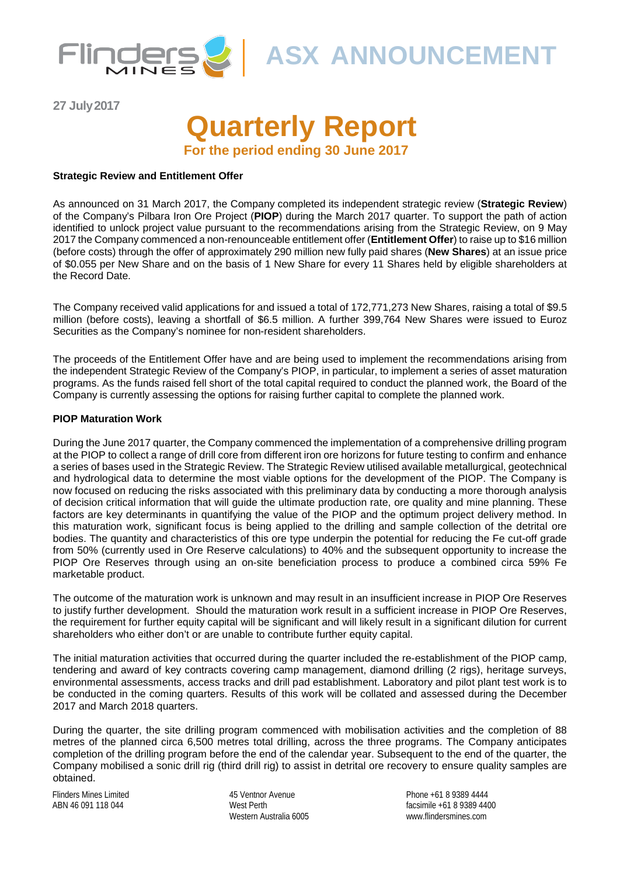

**ASX ANNOUNCEMENT**

**27 July2017**

# **Quarterly Report For the period ending 30 June 2017**

**Strategic Review and Entitlement Offer**

As announced on 31 March 2017, the Company completed its independent strategic review (**Strategic Review**) of the Company's Pilbara Iron Ore Project (**PIOP**) during the March 2017 quarter. To support the path of action identified to unlock project value pursuant to the recommendations arising from the Strategic Review, on 9 May 2017 the Company commenced a non-renounceable entitlement offer (**Entitlement Offer**) to raise up to \$16 million (before costs) through the offer of approximately 290 million new fully paid shares (**New Shares**) at an issue price of \$0.055 per New Share and on the basis of 1 New Share for every 11 Shares held by eligible shareholders at the Record Date.

The Company received valid applications for and issued a total of 172,771,273 New Shares, raising a total of \$9.5 million (before costs), leaving a shortfall of \$6.5 million. A further 399,764 New Shares were issued to Euroz Securities as the Company's nominee for non-resident shareholders.

The proceeds of the Entitlement Offer have and are being used to implement the recommendations arising from the independent Strategic Review of the Company's PIOP, in particular, to implement a series of asset maturation programs. As the funds raised fell short of the total capital required to conduct the planned work, the Board of the Company is currently assessing the options for raising further capital to complete the planned work.

### **PIOP Maturation Work**

During the June 2017 quarter, the Company commenced the implementation of a comprehensive drilling program at the PIOP to collect a range of drill core from different iron ore horizons for future testing to confirm and enhance a series of bases used in the Strategic Review. The Strategic Review utilised available metallurgical, geotechnical and hydrological data to determine the most viable options for the development of the PIOP. The Company is now focused on reducing the risks associated with this preliminary data by conducting a more thorough analysis of decision critical information that will guide the ultimate production rate, ore quality and mine planning. These factors are key determinants in quantifying the value of the PIOP and the optimum project delivery method. In this maturation work, significant focus is being applied to the drilling and sample collection of the detrital ore bodies. The quantity and characteristics of this ore type underpin the potential for reducing the Fe cut-off grade from 50% (currently used in Ore Reserve calculations) to 40% and the subsequent opportunity to increase the PIOP Ore Reserves through using an on-site beneficiation process to produce a combined circa 59% Fe marketable product.

The outcome of the maturation work is unknown and may result in an insufficient increase in PIOP Ore Reserves to justify further development. Should the maturation work result in a sufficient increase in PIOP Ore Reserves, the requirement for further equity capital will be significant and will likely result in a significant dilution for current shareholders who either don't or are unable to contribute further equity capital.

The initial maturation activities that occurred during the quarter included the re-establishment of the PIOP camp, tendering and award of key contracts covering camp management, diamond drilling (2 rigs), heritage surveys, environmental assessments, access tracks and drill pad establishment. Laboratory and pilot plant test work is to be conducted in the coming quarters. Results of this work will be collated and assessed during the December 2017 and March 2018 quarters.

During the quarter, the site drilling program commenced with mobilisation activities and the completion of 88 metres of the planned circa 6,500 metres total drilling, across the three programs. The Company anticipates completion of the drilling program before the end of the calendar year. Subsequent to the end of the quarter, the Company mobilised a sonic drill rig (third drill rig) to assist in detrital ore recovery to ensure quality samples are obtained.

Flinders Mines Limited ABN 46 091 118 044

45 Ventnor Avenue West Perth Western Australia 6005 Phone +61 8 9389 4444 facsimile +61 8 9389 4400 www.flindersmines.com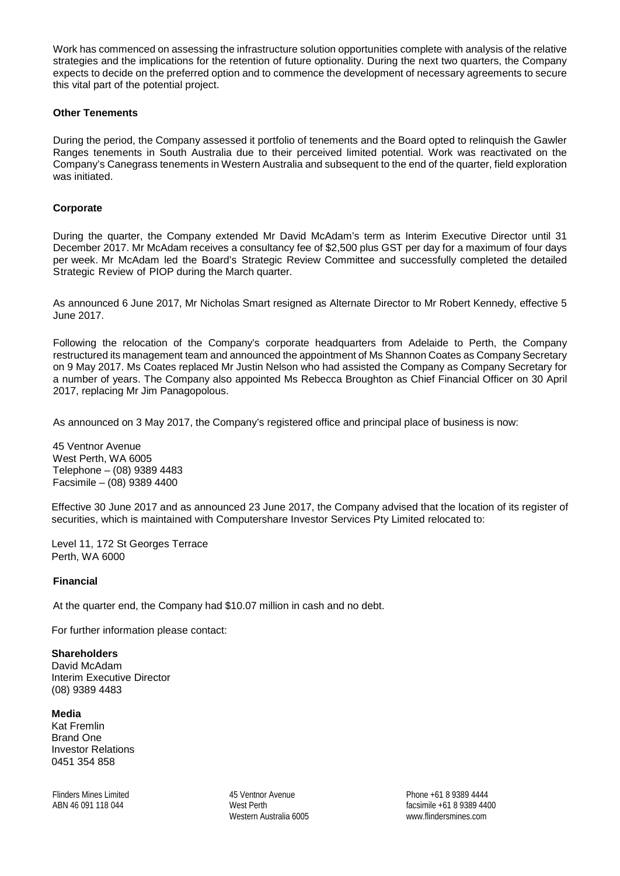Work has commenced on assessing the infrastructure solution opportunities complete with analysis of the relative strategies and the implications for the retention of future optionality. During the next two quarters, the Company expects to decide on the preferred option and to commence the development of necessary agreements to secure this vital part of the potential project.

### **Other Tenements**

During the period, the Company assessed it portfolio of tenements and the Board opted to relinquish the Gawler Ranges tenements in South Australia due to their perceived limited potential. Work was reactivated on the Company's Canegrass tenements in Western Australia and subsequent to the end of the quarter, field exploration was initiated.

### **Corporate**

During the quarter, the Company extended Mr David McAdam's term as Interim Executive Director until 31 December 2017. Mr McAdam receives a consultancy fee of \$2,500 plus GST per day for a maximum of four days per week. Mr McAdam led the Board's Strategic Review Committee and successfully completed the detailed Strategic Review of PIOP during the March quarter.

As announced 6 June 2017, Mr Nicholas Smart resigned as Alternate Director to Mr Robert Kennedy, effective 5 June 2017.

Following the relocation of the Company's corporate headquarters from Adelaide to Perth, the Company restructured its management team and announced the appointment of Ms Shannon Coates as Company Secretary on 9 May 2017. Ms Coates replaced Mr Justin Nelson who had assisted the Company as Company Secretary for a number of years. The Company also appointed Ms Rebecca Broughton as Chief Financial Officer on 30 April 2017, replacing Mr Jim Panagopolous.

As announced on 3 May 2017, the Company's registered office and principal place of business is now:

45 Ventnor Avenue West Perth, WA 6005 Telephone – (08) 9389 4483 Facsimile – (08) 9389 4400

Effective 30 June 2017 and as announced 23 June 2017, the Company advised that the location of its register of securities, which is maintained with Computershare Investor Services Pty Limited relocated to:

Level 11, 172 St Georges Terrace Perth, WA 6000

### **Financial**

At the quarter end, the Company had \$10.07 million in cash and no debt.

For further information please contact:

**Shareholders**  David McAdam Interim Executive Director (08) 9389 4483

**Media**  Kat Fremlin Brand One Investor Relations 0451 354 858

Flinders Mines Limited ABN 46 091 118 044

45 Ventnor Avenue West Perth Western Australia 6005

Phone +61 8 9389 4444 facsimile +61 8 9389 4400 www.flindersmines.com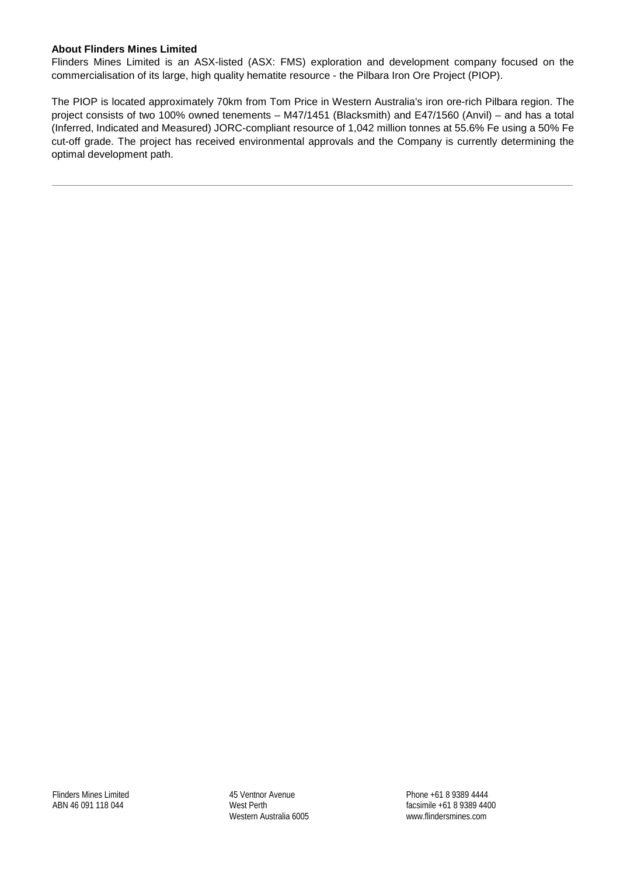### **About Flinders Mines Limited**

Flinders Mines Limited is an ASX-listed (ASX: FMS) exploration and development company focused on the commercialisation of its large, high quality hematite resource - the Pilbara Iron Ore Project (PIOP).

The PIOP is located approximately 70km from Tom Price in Western Australia's iron ore-rich Pilbara region. The project consists of two 100% owned tenements – M47/1451 (Blacksmith) and E47/1560 (Anvil) – and has a total (Inferred, Indicated and Measured) JORC-compliant resource of 1,042 million tonnes at 55.6% Fe using a 50% Fe cut-off grade. The project has received environmental approvals and the Company is currently determining the optimal development path.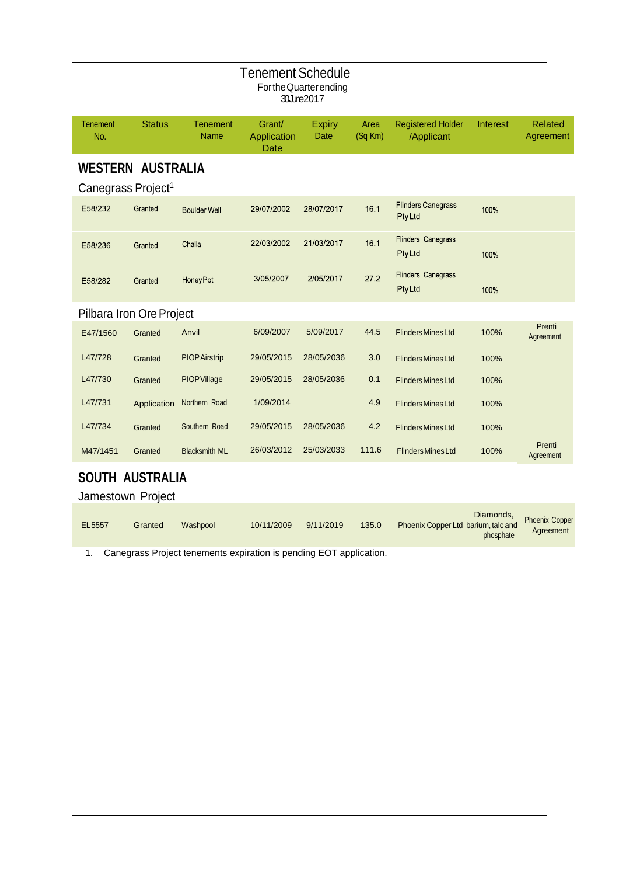| <b>Tenement Schedule</b><br>For the Quarter ending<br>30June2017 |                                                            |                                |                                      |                       |                 |                                            |          |                             |
|------------------------------------------------------------------|------------------------------------------------------------|--------------------------------|--------------------------------------|-----------------------|-----------------|--------------------------------------------|----------|-----------------------------|
| <b>Tenement</b><br>No.                                           | <b>Status</b>                                              | <b>Tenement</b><br><b>Name</b> | Grant/<br>Application<br><b>Date</b> | <b>Expiry</b><br>Date | Area<br>(Sq Km) | <b>Registered Holder</b><br>/Applicant     | Interest | <b>Related</b><br>Agreement |
|                                                                  | <b>WESTERN AUSTRALIA</b><br>Canegrass Project <sup>1</sup> |                                |                                      |                       |                 |                                            |          |                             |
| E58/232                                                          | Granted                                                    | <b>Boulder Well</b>            | 29/07/2002                           | 28/07/2017            | 16.1            | <b>Flinders Canegrass</b><br><b>PtyLtd</b> | 100%     |                             |
| E58/236                                                          | Granted                                                    | Challa                         | 22/03/2002                           | 21/03/2017            | 16.1            | <b>Flinders Canegrass</b><br><b>PtyLtd</b> | 100%     |                             |
| E58/282                                                          | Granted                                                    | Honey Pot                      | 3/05/2007                            | 2/05/2017             | 27.2            | <b>Flinders Canegrass</b><br>PtyLtd        | 100%     |                             |
| Pilbara Iron Ore Project                                         |                                                            |                                |                                      |                       |                 |                                            |          |                             |
| E47/1560                                                         | Granted                                                    | Anvil                          | 6/09/2007                            | 5/09/2017             | 44.5            | <b>Flinders Mines Ltd</b>                  | 100%     | Prenti<br>Agreement         |
| L47/728                                                          | Granted                                                    | <b>PIOP Airstrip</b>           | 29/05/2015                           | 28/05/2036            | 3.0             | <b>Flinders Mines Ltd</b>                  | 100%     |                             |
| L47/730                                                          | Granted                                                    | PIOPVillage                    | 29/05/2015                           | 28/05/2036            | 0.1             | <b>Flinders Mines Ltd</b>                  | 100%     |                             |
| L47/731                                                          | Application                                                | Northern Road                  | 1/09/2014                            |                       | 4.9             | <b>Flinders Mines Ltd</b>                  | 100%     |                             |
| L47/734                                                          | Granted                                                    | Southern Road                  | 29/05/2015                           | 28/05/2036            | 4.2             | <b>Flinders Mines Ltd</b>                  | 100%     |                             |
| M47/1451                                                         | Granted                                                    | <b>Blacksmith ML</b>           | 26/03/2012                           | 25/03/2033            | 111.6           | <b>Flinders Mines Ltd</b>                  | 100%     | Prenti<br>Agreement         |
| <b>SOUTH AUSTRALIA</b><br>Jamestown Project                      |                                                            |                                |                                      |                       |                 |                                            |          |                             |

|        |         |          |            |           |       |                                     | Diamonds,<br>with the end. Phoenix Copper |
|--------|---------|----------|------------|-----------|-------|-------------------------------------|-------------------------------------------|
| EL5557 | Granted | Washpool | 10/11/2009 | 9/11/2019 | 135.0 | Phoenix Copper Ltd barium, talc and | Agreement                                 |
|        |         |          |            |           |       | phosphate                           |                                           |

1. Canegrass Project tenements expiration is pending EOT application.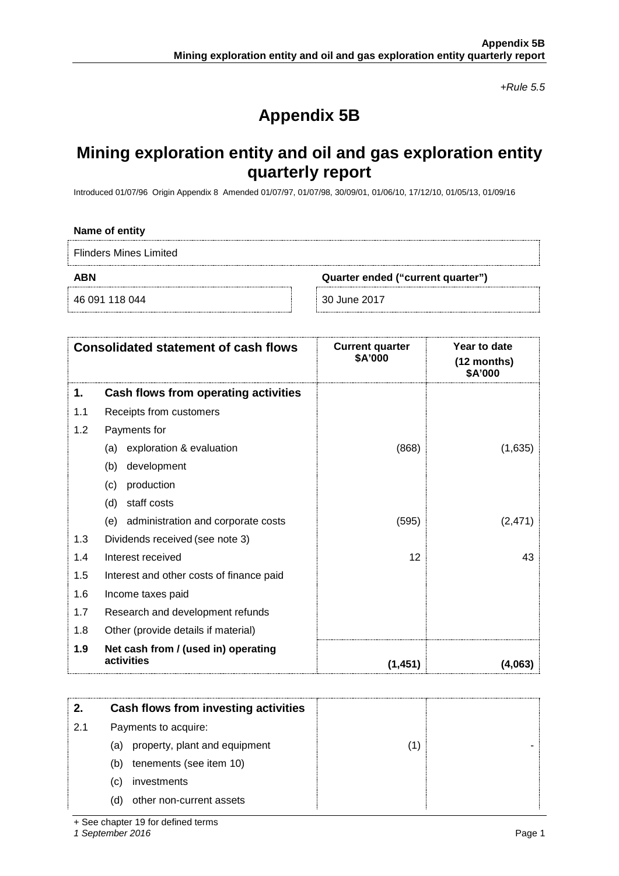*+Rule 5.5*

# **Appendix 5B**

# **Mining exploration entity and oil and gas exploration entity quarterly report**

Introduced 01/07/96 Origin Appendix 8 Amended 01/07/97, 01/07/98, 30/09/01, 01/06/10, 17/12/10, 01/05/13, 01/09/16

### **Name of entity**

Flinders Mines Limited

**ABN Quarter ended ("current quarter")**

46 091 118 044 30 June 2017

|     | <b>Consolidated statement of cash flows</b>       | <b>Current quarter</b><br>\$A'000 | Year to date<br>(12 months)<br>\$A'000 |
|-----|---------------------------------------------------|-----------------------------------|----------------------------------------|
| 1.  | Cash flows from operating activities              |                                   |                                        |
| 1.1 | Receipts from customers                           |                                   |                                        |
| 1.2 | Payments for                                      |                                   |                                        |
|     | exploration & evaluation<br>(a)                   | (868)                             | (1,635)                                |
|     | development<br>(b)                                |                                   |                                        |
|     | production<br>(c)                                 |                                   |                                        |
|     | staff costs<br>(d)                                |                                   |                                        |
|     | administration and corporate costs<br>(e)         | (595)                             | (2, 471)                               |
| 1.3 | Dividends received (see note 3)                   |                                   |                                        |
| 1.4 | Interest received                                 | 12                                | 43                                     |
| 1.5 | Interest and other costs of finance paid          |                                   |                                        |
| 1.6 | Income taxes paid                                 |                                   |                                        |
| 1.7 | Research and development refunds                  |                                   |                                        |
| 1.8 | Other (provide details if material)               |                                   |                                        |
| 1.9 | Net cash from / (used in) operating<br>activities | (1, 451)                          | (4,063)                                |

|     | Cash flows from investing activities |  |
|-----|--------------------------------------|--|
| 2.1 | Payments to acquire:                 |  |
|     | (a) property, plant and equipment    |  |
|     | tenements (see item 10)<br>(b)       |  |
|     | investments<br>(C)                   |  |
|     | other non-current assets<br>(d)      |  |

+ See chapter 19 for defined terms

*1 September 2016* Page 1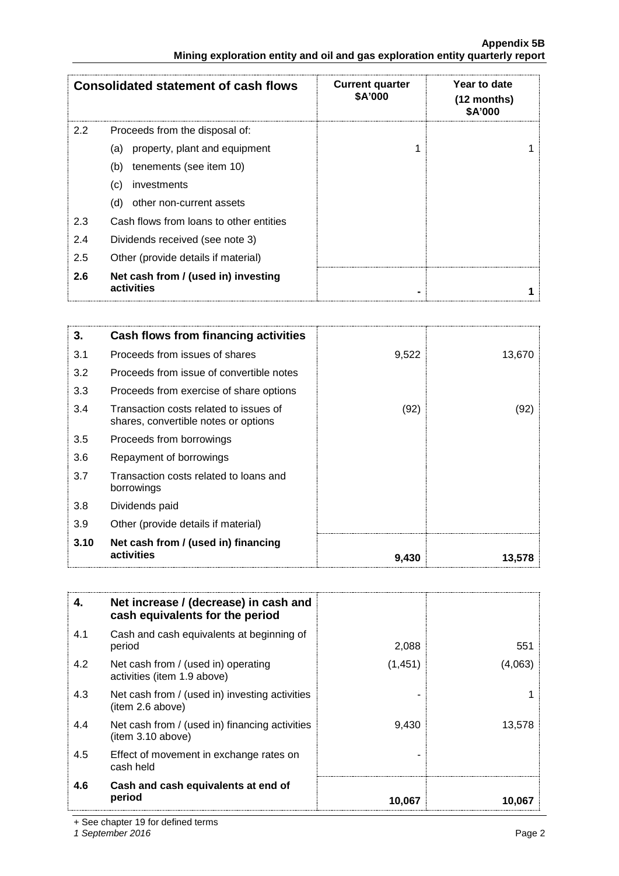# **Appendix 5B Mining exploration entity and oil and gas exploration entity quarterly report**

|                  | <b>Consolidated statement of cash flows</b>       | <b>Current quarter</b><br>\$A'000 | Year to date<br>$(12$ months)<br>\$A'000 |
|------------------|---------------------------------------------------|-----------------------------------|------------------------------------------|
| $2.2\phantom{0}$ | Proceeds from the disposal of:                    |                                   |                                          |
|                  | property, plant and equipment<br>(a)              |                                   |                                          |
|                  | tenements (see item 10)<br>(b)                    |                                   |                                          |
|                  | investments<br>(c)                                |                                   |                                          |
|                  | other non-current assets<br>(d)                   |                                   |                                          |
| 2.3              | Cash flows from loans to other entities           |                                   |                                          |
| 2.4              | Dividends received (see note 3)                   |                                   |                                          |
| 2.5              | Other (provide details if material)               |                                   |                                          |
| 2.6              | Net cash from / (used in) investing<br>activities |                                   |                                          |

| 3.   | Cash flows from financing activities                                           |       |        |
|------|--------------------------------------------------------------------------------|-------|--------|
| 3.1  | Proceeds from issues of shares                                                 | 9,522 | 13,670 |
| 3.2  | Proceeds from issue of convertible notes                                       |       |        |
| 3.3  | Proceeds from exercise of share options                                        |       |        |
| 3.4  | Transaction costs related to issues of<br>shares, convertible notes or options | (92)  | (92)   |
| 3.5  | Proceeds from borrowings                                                       |       |        |
| 3.6  | Repayment of borrowings                                                        |       |        |
| 3.7  | Transaction costs related to loans and<br>borrowings                           |       |        |
| 3.8  | Dividends paid                                                                 |       |        |
| 3.9  | Other (provide details if material)                                            |       |        |
| 3.10 | Net cash from / (used in) financing<br>activities                              | 9,430 | 13,578 |

| 4.  | Net increase / (decrease) in cash and<br>cash equivalents for the period |         |         |
|-----|--------------------------------------------------------------------------|---------|---------|
| 4.1 | Cash and cash equivalents at beginning of<br>period                      | 2,088   | 551     |
| 4.2 | Net cash from / (used in) operating<br>activities (item 1.9 above)       | (1,451) | (4,063) |
| 4.3 | Net cash from / (used in) investing activities<br>(item 2.6 above)       |         |         |
| 4.4 | Net cash from / (used in) financing activities<br>(item 3.10 above)      | 9,430   | 13,578  |
| 4.5 | Effect of movement in exchange rates on<br>cash held                     |         |         |
| 4.6 | Cash and cash equivalents at end of<br>period                            | 10.067  | 10.067  |

+ See chapter 19 for defined terms

*1 September 2016* Page 2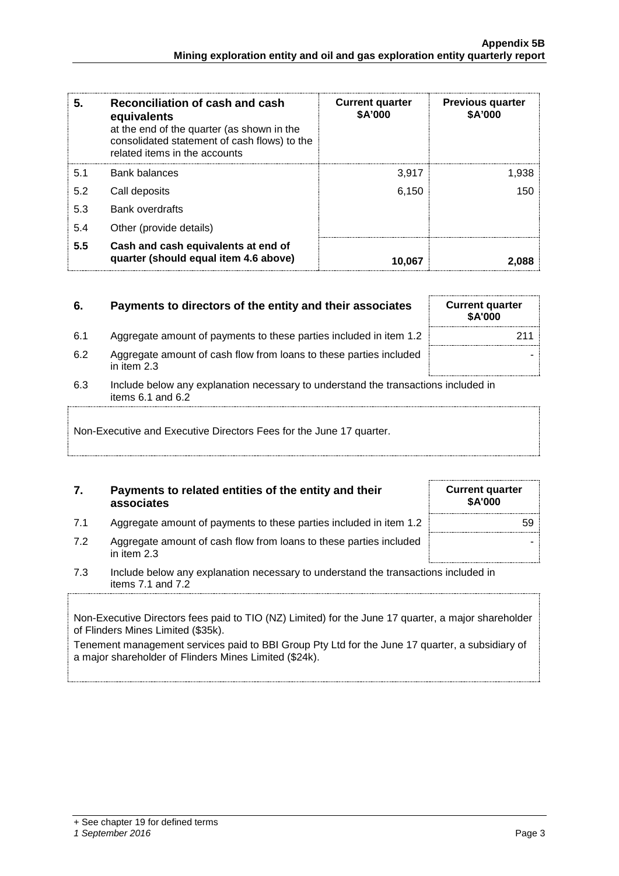| 5.  | Reconciliation of cash and cash<br>equivalents<br>at the end of the quarter (as shown in the<br>consolidated statement of cash flows) to the<br>related items in the accounts | <b>Current quarter</b><br>\$A'000 | <b>Previous quarter</b><br>\$A'000 |
|-----|-------------------------------------------------------------------------------------------------------------------------------------------------------------------------------|-----------------------------------|------------------------------------|
| 5.1 | <b>Bank balances</b>                                                                                                                                                          | 3.917                             | 1.938                              |
| 5.2 | Call deposits                                                                                                                                                                 | 6,150                             | 150                                |
| 5.3 | <b>Bank overdrafts</b>                                                                                                                                                        |                                   |                                    |
| 5.4 | Other (provide details)                                                                                                                                                       |                                   |                                    |
| 5.5 | Cash and cash equivalents at end of<br>quarter (should equal item 4.6 above)                                                                                                  | 10.067                            |                                    |

# **6.** Payments to directors of the entity and their associates Current quarter

- 6.1 Aggregate amount of payments to these parties included in item 1.2 **211**
- 6.2 Aggregate amount of cash flow from loans to these parties included in item 2.3
- 6.3 Include below any explanation necessary to understand the transactions included in items 6.1 and 6.2

Non-Executive and Executive Directors Fees for the June 17 quarter.

# **7. Payments to related entities of the entity and their associates**

- 7.1 Aggregate amount of payments to these parties included in item 1.2
- 7.2 Aggregate amount of cash flow from loans to these parties included in item 2.3
- 7.3 Include below any explanation necessary to understand the transactions included in items 7.1 and 7.2

Non-Executive Directors fees paid to TIO (NZ) Limited) for the June 17 quarter, a major shareholder of Flinders Mines Limited (\$35k).

Tenement management services paid to BBI Group Pty Ltd for the June 17 quarter, a subsidiary of a major shareholder of Flinders Mines Limited (\$24k).

| <b>Current quarter</b><br>\$A'000 |
|-----------------------------------|
| 59                                |
|                                   |

**\$A'000**

-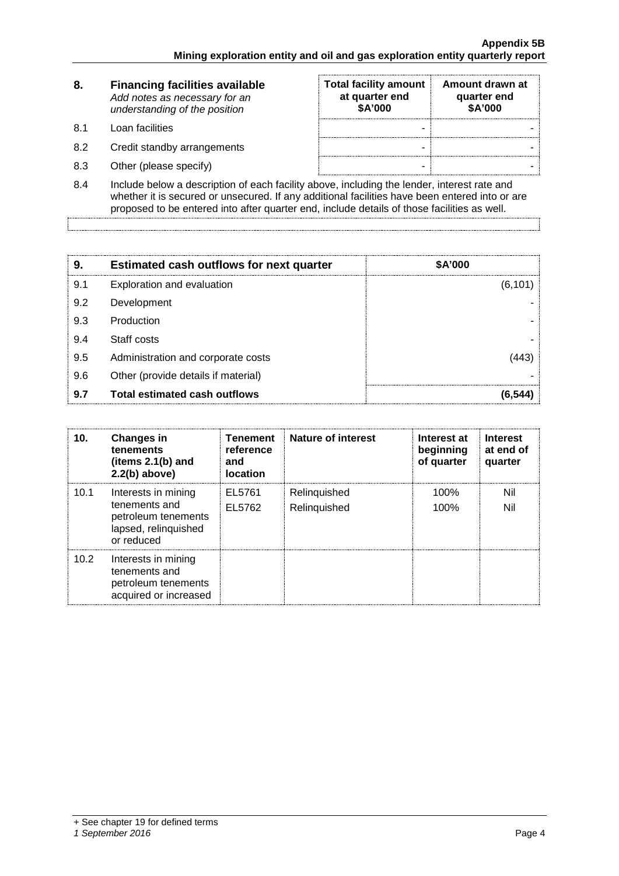| 8.  | <b>Financing facilities available</b><br>Add notes as necessary for an<br>understanding of the position | <b>Total facility amount</b><br>at quarter end<br>\$A'000 | Amount drawn at<br>quarter end<br>\$A'000 |
|-----|---------------------------------------------------------------------------------------------------------|-----------------------------------------------------------|-------------------------------------------|
| 81  | Loan facilities                                                                                         | -                                                         |                                           |
| 8.2 | Credit standby arrangements                                                                             | -                                                         |                                           |
| 8.3 | Other (please specify)                                                                                  | -                                                         |                                           |

8.4 Include below a description of each facility above, including the lender, interest rate and whether it is secured or unsecured. If any additional facilities have been entered into or are proposed to be entered into after quarter end, include details of those facilities as well.

| 9.  | <b>Estimated cash outflows for next quarter</b> | <b>\$A'000</b> |
|-----|-------------------------------------------------|----------------|
| 9.1 | Exploration and evaluation                      | (6, 101)       |
| 9.2 | Development                                     |                |
| 9.3 | Production                                      |                |
| 9.4 | Staff costs                                     |                |
| 9.5 | Administration and corporate costs              |                |
| 9.6 | Other (provide details if material)             |                |
| 9.7 | <b>Total estimated cash outflows</b>            |                |

| 10.  | <b>Changes in</b><br>tenements<br>(items 2.1(b) and<br>$2.2(b)$ above)                            | <b>Tenement</b><br>reference<br>and<br><b>location</b> | <b>Nature of interest</b>    | Interest at<br>beginning<br>of quarter | <b>Interest</b><br>at end of<br>quarter |
|------|---------------------------------------------------------------------------------------------------|--------------------------------------------------------|------------------------------|----------------------------------------|-----------------------------------------|
| 10.1 | Interests in mining<br>tenements and<br>petroleum tenements<br>lapsed, relinquished<br>or reduced | EL5761<br>EL5762                                       | Relinquished<br>Relinquished | 100%<br>100%                           | Nil<br>Nil                              |
| 10.2 | Interests in mining<br>tenements and<br>petroleum tenements<br>acquired or increased              |                                                        |                              |                                        |                                         |